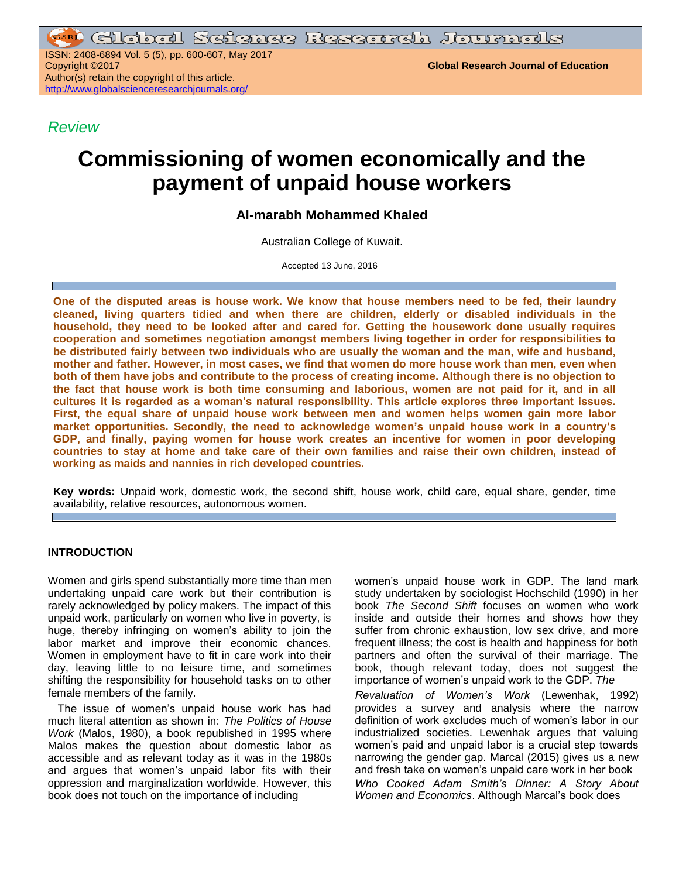<u>ri Global Seienee Research Journals</u>

ISSN: 2408-6894 Vol. 5 (5), pp. 600-607, May 2017 Copyright ©2017 **Global Research Journal of Education** Author(s) retain the copyright of this article. <http://www.globalscienceresearchjournals.org/>

*Review*

# **Commissioning of women economically and the payment of unpaid house workers**

# **Al-marabh Mohammed Khaled**

Australian College of Kuwait.

Accepted 13 June, 2016

**One of the disputed areas is house work. We know that house members need to be fed, their laundry cleaned, living quarters tidied and when there are children, elderly or disabled individuals in the household, they need to be looked after and cared for. Getting the housework done usually requires cooperation and sometimes negotiation amongst members living together in order for responsibilities to be distributed fairly between two individuals who are usually the woman and the man, wife and husband, mother and father. However, in most cases, we find that women do more house work than men, even when both of them have jobs and contribute to the process of creating income. Although there is no objection to the fact that house work is both time consuming and laborious, women are not paid for it, and in all cultures it is regarded as a woman's natural responsibility. This article explores three important issues. First, the equal share of unpaid house work between men and women helps women gain more labor market opportunities. Secondly, the need to acknowledge women's unpaid house work in a country's GDP, and finally, paying women for house work creates an incentive for women in poor developing countries to stay at home and take care of their own families and raise their own children, instead of working as maids and nannies in rich developed countries.**

**Key words:** Unpaid work, domestic work, the second shift, house work, child care, equal share, gender, time availability, relative resources, autonomous women.

## **INTRODUCTION**

Women and girls spend substantially more time than men undertaking unpaid care work but their contribution is rarely acknowledged by policy makers. The impact of this unpaid work, particularly on women who live in poverty, is huge, thereby infringing on women's ability to join the labor market and improve their economic chances. Women in employment have to fit in care work into their day, leaving little to no leisure time, and sometimes shifting the responsibility for household tasks on to other female members of the family.

The issue of women's unpaid house work has had much literal attention as shown in: *The Politics of House Work* (Malos, 1980), a book republished in 1995 where Malos makes the question about domestic labor as accessible and as relevant today as it was in the 1980s and argues that women's unpaid labor fits with their oppression and marginalization worldwide. However, this book does not touch on the importance of including

women's unpaid house work in GDP. The land mark study undertaken by sociologist Hochschild (1990) in her book *The Second Shift* focuses on women who work inside and outside their homes and shows how they suffer from chronic exhaustion, low sex drive, and more frequent illness; the cost is health and happiness for both partners and often the survival of their marriage. The book, though relevant today, does not suggest the importance of women's unpaid work to the GDP. *The*

*Revaluation of Women's Work* (Lewenhak, 1992) provides a survey and analysis where the narrow definition of work excludes much of women's labor in our industrialized societies. Lewenhak argues that valuing women's paid and unpaid labor is a crucial step towards narrowing the gender gap. Marcal (2015) gives us a new and fresh take on women's unpaid care work in her book *Who Cooked Adam Smith's Dinner: A Story About Women and Economics*. Although Marcal's book does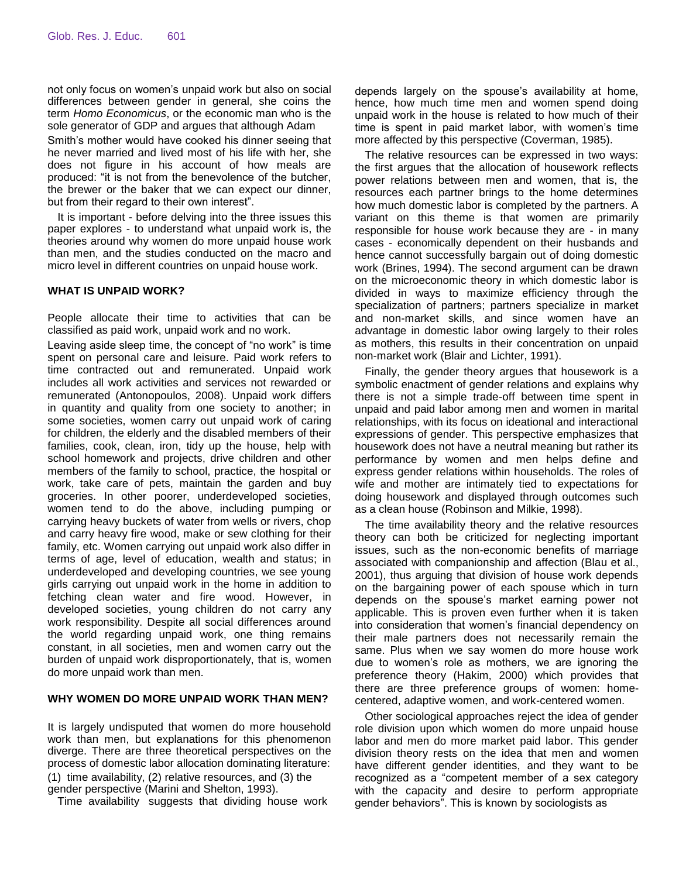not only focus on women's unpaid work but also on social differences between gender in general, she coins the term *Homo Economicus*, or the economic man who is the sole generator of GDP and argues that although Adam

Smith's mother would have cooked his dinner seeing that he never married and lived most of his life with her, she does not figure in his account of how meals are produced: "it is not from the benevolence of the butcher, the brewer or the baker that we can expect our dinner, but from their regard to their own interest".

It is important - before delving into the three issues this paper explores - to understand what unpaid work is, the theories around why women do more unpaid house work than men, and the studies conducted on the macro and micro level in different countries on unpaid house work.

# **WHAT IS UNPAID WORK?**

People allocate their time to activities that can be classified as paid work, unpaid work and no work.

Leaving aside sleep time, the concept of "no work" is time spent on personal care and leisure. Paid work refers to time contracted out and remunerated. Unpaid work includes all work activities and services not rewarded or remunerated (Antonopoulos, 2008). Unpaid work differs in quantity and quality from one society to another; in some societies, women carry out unpaid work of caring for children, the elderly and the disabled members of their families, cook, clean, iron, tidy up the house, help with school homework and projects, drive children and other members of the family to school, practice, the hospital or work, take care of pets, maintain the garden and buy groceries. In other poorer, underdeveloped societies, women tend to do the above, including pumping or carrying heavy buckets of water from wells or rivers, chop and carry heavy fire wood, make or sew clothing for their family, etc. Women carrying out unpaid work also differ in terms of age, level of education, wealth and status; in underdeveloped and developing countries, we see young girls carrying out unpaid work in the home in addition to fetching clean water and fire wood. However, in developed societies, young children do not carry any work responsibility. Despite all social differences around the world regarding unpaid work, one thing remains constant, in all societies, men and women carry out the burden of unpaid work disproportionately, that is, women do more unpaid work than men.

#### **WHY WOMEN DO MORE UNPAID WORK THAN MEN?**

It is largely undisputed that women do more household work than men, but explanations for this phenomenon diverge. There are three theoretical perspectives on the process of domestic labor allocation dominating literature: (1) time availability, (2) relative resources, and (3) the gender perspective (Marini and Shelton, 1993).

Time availability suggests that dividing house work

depends largely on the spouse's availability at home, hence, how much time men and women spend doing unpaid work in the house is related to how much of their time is spent in paid market labor, with women's time more affected by this perspective (Coverman, 1985).

The relative resources can be expressed in two ways: the first argues that the allocation of housework reflects power relations between men and women, that is, the resources each partner brings to the home determines how much domestic labor is completed by the partners. A variant on this theme is that women are primarily responsible for house work because they are - in many cases - economically dependent on their husbands and hence cannot successfully bargain out of doing domestic work (Brines, 1994). The second argument can be drawn on the microeconomic theory in which domestic labor is divided in ways to maximize efficiency through the specialization of partners; partners specialize in market and non-market skills, and since women have an advantage in domestic labor owing largely to their roles as mothers, this results in their concentration on unpaid non-market work (Blair and Lichter, 1991).

Finally, the gender theory argues that housework is a symbolic enactment of gender relations and explains why there is not a simple trade-off between time spent in unpaid and paid labor among men and women in marital relationships, with its focus on ideational and interactional expressions of gender. This perspective emphasizes that housework does not have a neutral meaning but rather its performance by women and men helps define and express gender relations within households. The roles of wife and mother are intimately tied to expectations for doing housework and displayed through outcomes such as a clean house (Robinson and Milkie, 1998).

The time availability theory and the relative resources theory can both be criticized for neglecting important issues, such as the non-economic benefits of marriage associated with companionship and affection (Blau et al., 2001), thus arguing that division of house work depends on the bargaining power of each spouse which in turn depends on the spouse's market earning power not applicable. This is proven even further when it is taken into consideration that women's financial dependency on their male partners does not necessarily remain the same. Plus when we say women do more house work due to women's role as mothers, we are ignoring the preference theory (Hakim, 2000) which provides that there are three preference groups of women: homecentered, adaptive women, and work-centered women.

Other sociological approaches reject the idea of gender role division upon which women do more unpaid house labor and men do more market paid labor. This gender division theory rests on the idea that men and women have different gender identities, and they want to be recognized as a "competent member of a sex category with the capacity and desire to perform appropriate gender behaviors". This is known by sociologists as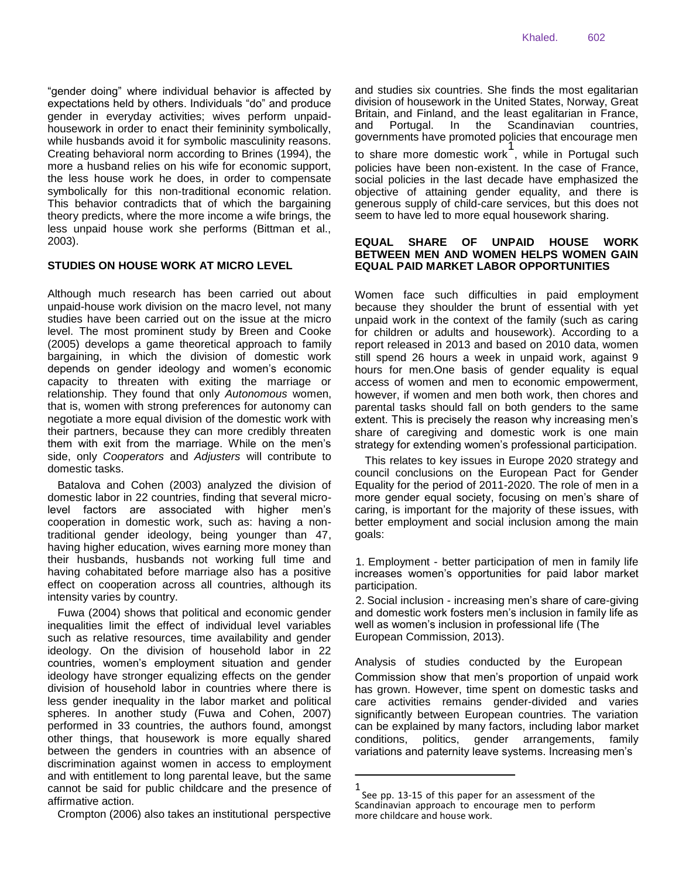"gender doing" where individual behavior is affected by expectations held by others. Individuals "do" and produce gender in everyday activities; wives perform unpaidhousework in order to enact their femininity symbolically, while husbands avoid it for symbolic masculinity reasons. Creating behavioral norm according to Brines (1994), the more a husband relies on his wife for economic support, the less house work he does, in order to compensate symbolically for this non-traditional economic relation. This behavior contradicts that of which the bargaining theory predicts, where the more income a wife brings, the less unpaid house work she performs (Bittman et al., 2003).

# **STUDIES ON HOUSE WORK AT MICRO LEVEL**

Although much research has been carried out about unpaid-house work division on the macro level, not many studies have been carried out on the issue at the micro level. The most prominent study by Breen and Cooke (2005) develops a game theoretical approach to family bargaining, in which the division of domestic work depends on gender ideology and women's economic capacity to threaten with exiting the marriage or relationship. They found that only *Autonomous* women, that is, women with strong preferences for autonomy can negotiate a more equal division of the domestic work with their partners, because they can more credibly threaten them with exit from the marriage. While on the men's side, only *Cooperators* and *Adjusters* will contribute to domestic tasks.

Batalova and Cohen (2003) analyzed the division of domestic labor in 22 countries, finding that several microlevel factors are associated with higher men's cooperation in domestic work, such as: having a nontraditional gender ideology, being younger than 47, having higher education, wives earning more money than their husbands, husbands not working full time and having cohabitated before marriage also has a positive effect on cooperation across all countries, although its intensity varies by country.

Fuwa (2004) shows that political and economic gender inequalities limit the effect of individual level variables such as relative resources, time availability and gender ideology. On the division of household labor in 22 countries, women's employment situation and gender ideology have stronger equalizing effects on the gender division of household labor in countries where there is less gender inequality in the labor market and political spheres. In another study (Fuwa and Cohen, 2007) performed in 33 countries, the authors found, amongst other things, that housework is more equally shared between the genders in countries with an absence of discrimination against women in access to employment and with entitlement to long parental leave, but the same cannot be said for public childcare and the presence of affirmative action.

Crompton (2006) also takes an institutional perspective

and studies six countries. She finds the most egalitarian division of housework in the United States, Norway, Great Britain, and Finland, and the least egalitarian in France, and Portugal. In the Scandinavian countries, governments have promoted policies that encourage men to share more domestic work 1 , while in Portugal such policies have been non-existent. In the case of France, social policies in the last decade have emphasized the objective of attaining gender equality, and there is generous supply of child-care services, but this does not seem to have led to more equal housework sharing.

# **EQUAL SHARE OF UNPAID HOUSE WORK BETWEEN MEN AND WOMEN HELPS WOMEN GAIN EQUAL PAID MARKET LABOR OPPORTUNITIES**

Women face such difficulties in paid employment because they shoulder the brunt of essential with yet unpaid work in the context of the family (such as caring for children or adults and housework). According to a report released in 2013 and based on 2010 data, women still spend 26 hours a week in unpaid work, against 9 hours for men.One basis of gender equality is equal access of women and men to economic empowerment, however, if women and men both work, then chores and parental tasks should fall on both genders to the same extent. This is precisely the reason why increasing men's share of caregiving and domestic work is one main strategy for extending women's professional participation.

This relates to key issues in Europe 2020 strategy and council conclusions on the European Pact for Gender Equality for the period of 2011-2020. The role of men in a more gender equal society, focusing on men's share of caring, is important for the majority of these issues, with better employment and social inclusion among the main goals:

1. Employment - better participation of men in family life increases women's opportunities for paid labor market participation.

2. Social inclusion - increasing men's share of care-giving and domestic work fosters men's inclusion in family life as well as women's inclusion in professional life (The European Commission, 2013).

Analysis of studies conducted by the European Commission show that men's proportion of unpaid work has grown. However, time spent on domestic tasks and care activities remains gender-divided and varies significantly between European countries. The variation can be explained by many factors, including labor market conditions, politics, gender arrangements, family variations and paternity leave systems. Increasing men's

<sup>1</sup> See pp. 13-15 of this paper for an assessment of the Scandinavian approach to encourage men to perform more childcare and house work.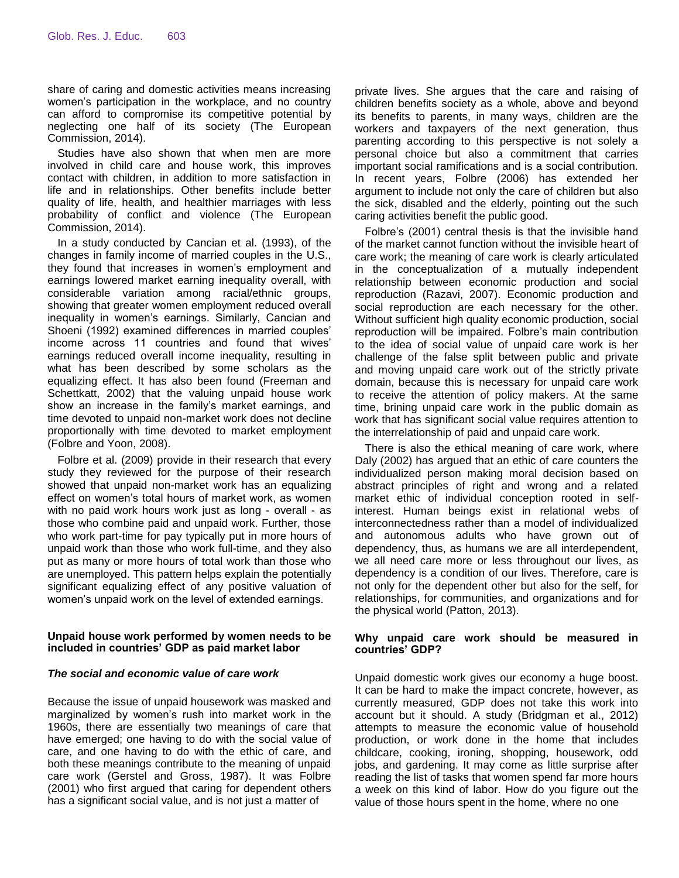share of caring and domestic activities means increasing women's participation in the workplace, and no country can afford to compromise its competitive potential by neglecting one half of its society (The European Commission, 2014).

Studies have also shown that when men are more involved in child care and house work, this improves contact with children, in addition to more satisfaction in life and in relationships. Other benefits include better quality of life, health, and healthier marriages with less probability of conflict and violence (The European Commission, 2014).

In a study conducted by Cancian et al. (1993), of the changes in family income of married couples in the U.S., they found that increases in women's employment and earnings lowered market earning inequality overall, with considerable variation among racial/ethnic groups, showing that greater women employment reduced overall inequality in women's earnings. Similarly, Cancian and Shoeni (1992) examined differences in married couples' income across 11 countries and found that wives' earnings reduced overall income inequality, resulting in what has been described by some scholars as the equalizing effect. It has also been found (Freeman and Schettkatt, 2002) that the valuing unpaid house work show an increase in the family's market earnings, and time devoted to unpaid non-market work does not decline proportionally with time devoted to market employment (Folbre and Yoon, 2008).

Folbre et al. (2009) provide in their research that every study they reviewed for the purpose of their research showed that unpaid non-market work has an equalizing effect on women's total hours of market work, as women with no paid work hours work just as long - overall - as those who combine paid and unpaid work. Further, those who work part-time for pay typically put in more hours of unpaid work than those who work full-time, and they also put as many or more hours of total work than those who are unemployed. This pattern helps explain the potentially significant equalizing effect of any positive valuation of women's unpaid work on the level of extended earnings.

# **Unpaid house work performed by women needs to be included in countries' GDP as paid market labor**

## *The social and economic value of care work*

Because the issue of unpaid housework was masked and marginalized by women's rush into market work in the 1960s, there are essentially two meanings of care that have emerged; one having to do with the social value of care, and one having to do with the ethic of care, and both these meanings contribute to the meaning of unpaid care work (Gerstel and Gross, 1987). It was Folbre (2001) who first argued that caring for dependent others has a significant social value, and is not just a matter of

private lives. She argues that the care and raising of children benefits society as a whole, above and beyond its benefits to parents, in many ways, children are the workers and taxpayers of the next generation, thus parenting according to this perspective is not solely a personal choice but also a commitment that carries important social ramifications and is a social contribution. In recent years, Folbre (2006) has extended her argument to include not only the care of children but also the sick, disabled and the elderly, pointing out the such caring activities benefit the public good.

Folbre's (2001) central thesis is that the invisible hand of the market cannot function without the invisible heart of care work; the meaning of care work is clearly articulated in the conceptualization of a mutually independent relationship between economic production and social reproduction (Razavi, 2007). Economic production and social reproduction are each necessary for the other. Without sufficient high quality economic production, social reproduction will be impaired. Folbre's main contribution to the idea of social value of unpaid care work is her challenge of the false split between public and private and moving unpaid care work out of the strictly private domain, because this is necessary for unpaid care work to receive the attention of policy makers. At the same time, brining unpaid care work in the public domain as work that has significant social value requires attention to the interrelationship of paid and unpaid care work.

There is also the ethical meaning of care work, where Daly (2002) has argued that an ethic of care counters the individualized person making moral decision based on abstract principles of right and wrong and a related market ethic of individual conception rooted in selfinterest. Human beings exist in relational webs of interconnectedness rather than a model of individualized and autonomous adults who have grown out of dependency, thus, as humans we are all interdependent, we all need care more or less throughout our lives, as dependency is a condition of our lives. Therefore, care is not only for the dependent other but also for the self, for relationships, for communities, and organizations and for the physical world (Patton, 2013).

## **Why unpaid care work should be measured in countries' GDP?**

Unpaid domestic work gives our economy a huge boost. It can be hard to make the impact concrete, however, as currently measured, GDP does not take this work into account but it should. A study (Bridgman et al., 2012) attempts to measure the economic value of household production, or work done in the home that includes childcare, cooking, ironing, shopping, housework, odd jobs, and gardening. It may come as little surprise after reading the list of tasks that women spend far more hours a week on this kind of labor. How do you figure out the value of those hours spent in the home, where no one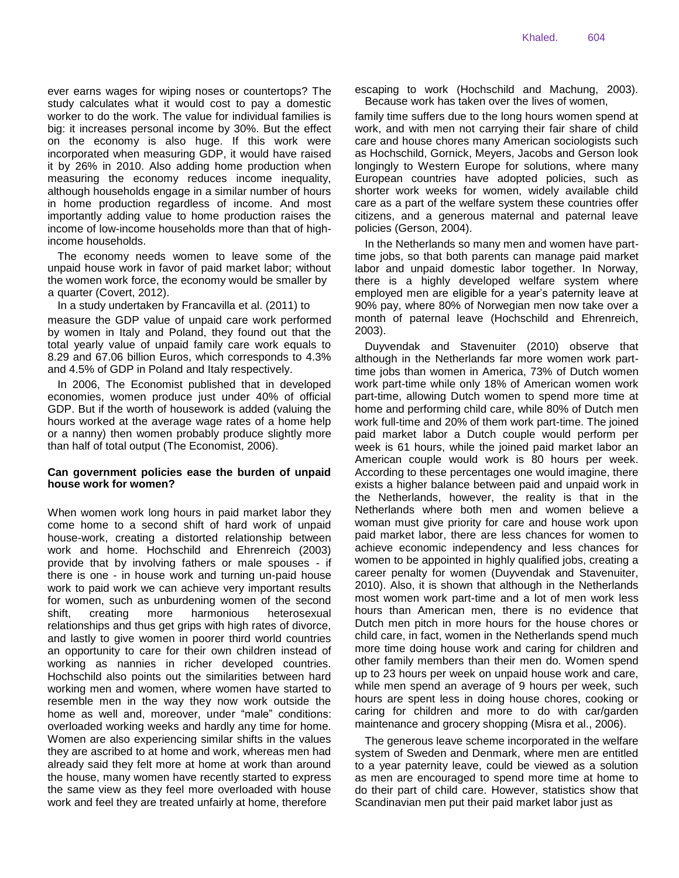ever earns wages for wiping noses or countertops? The study calculates what it would cost to pay a domestic worker to do the work. The value for individual families is big: it increases personal income by 30%. But the effect on the economy is also huge. If this work were incorporated when measuring GDP, it would have raised it by 26% in 2010. Also adding home production when measuring the economy reduces income inequality, although households engage in a similar number of hours in home production regardless of income. And most importantly adding value to home production raises the income of low-income households more than that of highincome households.

The economy needs women to leave some of the unpaid house work in favor of paid market labor; without the women work force, the economy would be smaller by a quarter (Covert, 2012).

In a study undertaken by Francavilla et al. (2011) to measure the GDP value of unpaid care work performed by women in Italy and Poland, they found out that the total yearly value of unpaid family care work equals to 8.29 and 67.06 billion Euros, which corresponds to 4.3% and 4.5% of GDP in Poland and Italy respectively.

In 2006, The Economist published that in developed economies, women produce just under 40% of official GDP. But if the worth of housework is added (valuing the hours worked at the average wage rates of a home help or a nanny) then women probably produce slightly more than half of total output (The Economist, 2006).

# **Can government policies ease the burden of unpaid house work for women?**

When women work long hours in paid market labor they come home to a second shift of hard work of unpaid house-work, creating a distorted relationship between work and home. Hochschild and Ehrenreich (2003) provide that by involving fathers or male spouses - if there is one - in house work and turning un-paid house work to paid work we can achieve very important results for women, such as unburdening women of the second shift, creating more harmonious heterosexual relationships and thus get grips with high rates of divorce, and lastly to give women in poorer third world countries an opportunity to care for their own children instead of working as nannies in richer developed countries. Hochschild also points out the similarities between hard working men and women, where women have started to resemble men in the way they now work outside the home as well and, moreover, under "male" conditions: overloaded working weeks and hardly any time for home. Women are also experiencing similar shifts in the values they are ascribed to at home and work, whereas men had already said they felt more at home at work than around the house, many women have recently started to express the same view as they feel more overloaded with house work and feel they are treated unfairly at home, therefore

escaping to work (Hochschild and Machung, 2003). Because work has taken over the lives of women,

family time suffers due to the long hours women spend at work, and with men not carrying their fair share of child care and house chores many American sociologists such as Hochschild, Gornick, Meyers, Jacobs and Gerson look longingly to Western Europe for solutions, where many European countries have adopted policies, such as shorter work weeks for women, widely available child care as a part of the welfare system these countries offer citizens, and a generous maternal and paternal leave policies (Gerson, 2004).

In the Netherlands so many men and women have parttime jobs, so that both parents can manage paid market labor and unpaid domestic labor together. In Norway, there is a highly developed welfare system where employed men are eligible for a year's paternity leave at 90% pay, where 80% of Norwegian men now take over a month of paternal leave (Hochschild and Ehrenreich, 2003).

Duyvendak and Stavenuiter (2010) observe that although in the Netherlands far more women work parttime jobs than women in America, 73% of Dutch women work part-time while only 18% of American women work part-time, allowing Dutch women to spend more time at home and performing child care, while 80% of Dutch men work full-time and 20% of them work part-time. The joined paid market labor a Dutch couple would perform per week is 61 hours, while the joined paid market labor an American couple would work is 80 hours per week. According to these percentages one would imagine, there exists a higher balance between paid and unpaid work in the Netherlands, however, the reality is that in the Netherlands where both men and women believe a woman must give priority for care and house work upon paid market labor, there are less chances for women to achieve economic independency and less chances for women to be appointed in highly qualified jobs, creating a career penalty for women (Duyvendak and Stavenuiter, 2010). Also, it is shown that although in the Netherlands most women work part-time and a lot of men work less hours than American men, there is no evidence that Dutch men pitch in more hours for the house chores or child care, in fact, women in the Netherlands spend much more time doing house work and caring for children and other family members than their men do. Women spend up to 23 hours per week on unpaid house work and care, while men spend an average of 9 hours per week, such hours are spent less in doing house chores, cooking or caring for children and more to do with car/garden maintenance and grocery shopping (Misra et al., 2006).

The generous leave scheme incorporated in the welfare system of Sweden and Denmark, where men are entitled to a year paternity leave, could be viewed as a solution as men are encouraged to spend more time at home to do their part of child care. However, statistics show that Scandinavian men put their paid market labor just as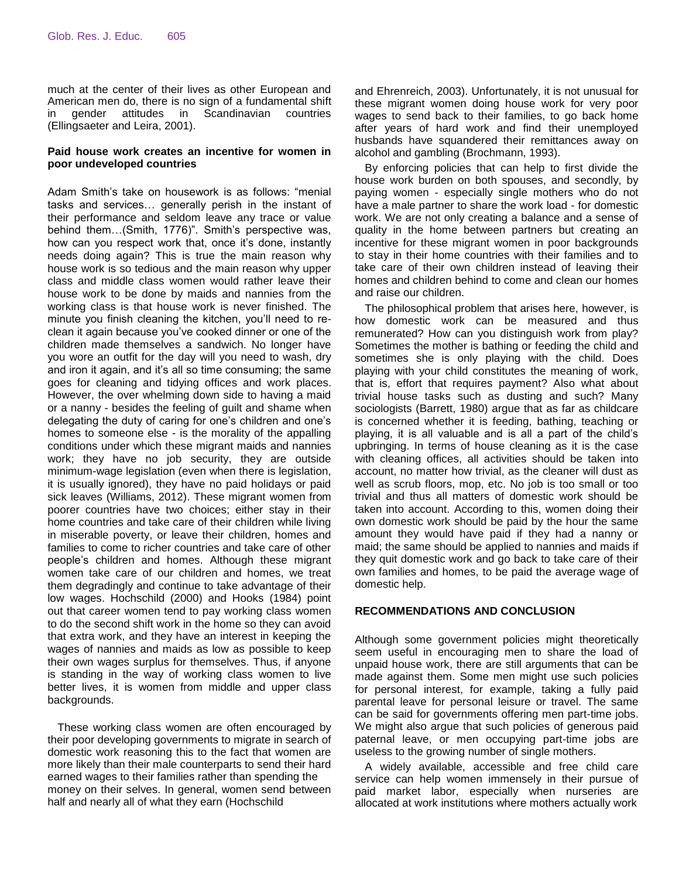much at the center of their lives as other European and American men do, there is no sign of a fundamental shift in gender attitudes in Scandinavian countries (Ellingsaeter and Leira, 2001).

#### **Paid house work creates an incentive for women in poor undeveloped countries**

Adam Smith's take on housework is as follows: "menial tasks and services… generally perish in the instant of their performance and seldom leave any trace or value behind them…(Smith, 1776)". Smith's perspective was, how can you respect work that, once it's done, instantly needs doing again? This is true the main reason why house work is so tedious and the main reason why upper class and middle class women would rather leave their house work to be done by maids and nannies from the working class is that house work is never finished. The minute you finish cleaning the kitchen, you'll need to reclean it again because you've cooked dinner or one of the children made themselves a sandwich. No longer have you wore an outfit for the day will you need to wash, dry and iron it again, and it's all so time consuming; the same goes for cleaning and tidying offices and work places. However, the over whelming down side to having a maid or a nanny - besides the feeling of guilt and shame when delegating the duty of caring for one's children and one's homes to someone else - is the morality of the appalling conditions under which these migrant maids and nannies work; they have no job security, they are outside minimum-wage legislation (even when there is legislation, it is usually ignored), they have no paid holidays or paid sick leaves (Williams, 2012). These migrant women from poorer countries have two choices; either stay in their home countries and take care of their children while living in miserable poverty, or leave their children, homes and families to come to richer countries and take care of other people's children and homes. Although these migrant women take care of our children and homes, we treat them degradingly and continue to take advantage of their low wages. Hochschild (2000) and Hooks (1984) point out that career women tend to pay working class women to do the second shift work in the home so they can avoid that extra work, and they have an interest in keeping the wages of nannies and maids as low as possible to keep their own wages surplus for themselves. Thus, if anyone is standing in the way of working class women to live better lives, it is women from middle and upper class backgrounds.

These working class women are often encouraged by their poor developing governments to migrate in search of domestic work reasoning this to the fact that women are more likely than their male counterparts to send their hard earned wages to their families rather than spending the money on their selves. In general, women send between half and nearly all of what they earn (Hochschild

and Ehrenreich, 2003). Unfortunately, it is not unusual for these migrant women doing house work for very poor wages to send back to their families, to go back home after years of hard work and find their unemployed husbands have squandered their remittances away on alcohol and gambling (Brochmann, 1993).

By enforcing policies that can help to first divide the house work burden on both spouses, and secondly, by paying women - especially single mothers who do not have a male partner to share the work load - for domestic work. We are not only creating a balance and a sense of quality in the home between partners but creating an incentive for these migrant women in poor backgrounds to stay in their home countries with their families and to take care of their own children instead of leaving their homes and children behind to come and clean our homes and raise our children.

The philosophical problem that arises here, however, is how domestic work can be measured and thus remunerated? How can you distinguish work from play? Sometimes the mother is bathing or feeding the child and sometimes she is only playing with the child. Does playing with your child constitutes the meaning of work, that is, effort that requires payment? Also what about trivial house tasks such as dusting and such? Many sociologists (Barrett, 1980) argue that as far as childcare is concerned whether it is feeding, bathing, teaching or playing, it is all valuable and is all a part of the child's upbringing. In terms of house cleaning as it is the case with cleaning offices, all activities should be taken into account, no matter how trivial, as the cleaner will dust as well as scrub floors, mop, etc. No job is too small or too trivial and thus all matters of domestic work should be taken into account. According to this, women doing their own domestic work should be paid by the hour the same amount they would have paid if they had a nanny or maid; the same should be applied to nannies and maids if they quit domestic work and go back to take care of their own families and homes, to be paid the average wage of domestic help.

## **RECOMMENDATIONS AND CONCLUSION**

Although some government policies might theoretically seem useful in encouraging men to share the load of unpaid house work, there are still arguments that can be made against them. Some men might use such policies for personal interest, for example, taking a fully paid parental leave for personal leisure or travel. The same can be said for governments offering men part-time jobs. We might also argue that such policies of generous paid paternal leave, or men occupying part-time jobs are useless to the growing number of single mothers.

A widely available, accessible and free child care service can help women immensely in their pursue of paid market labor, especially when nurseries are allocated at work institutions where mothers actually work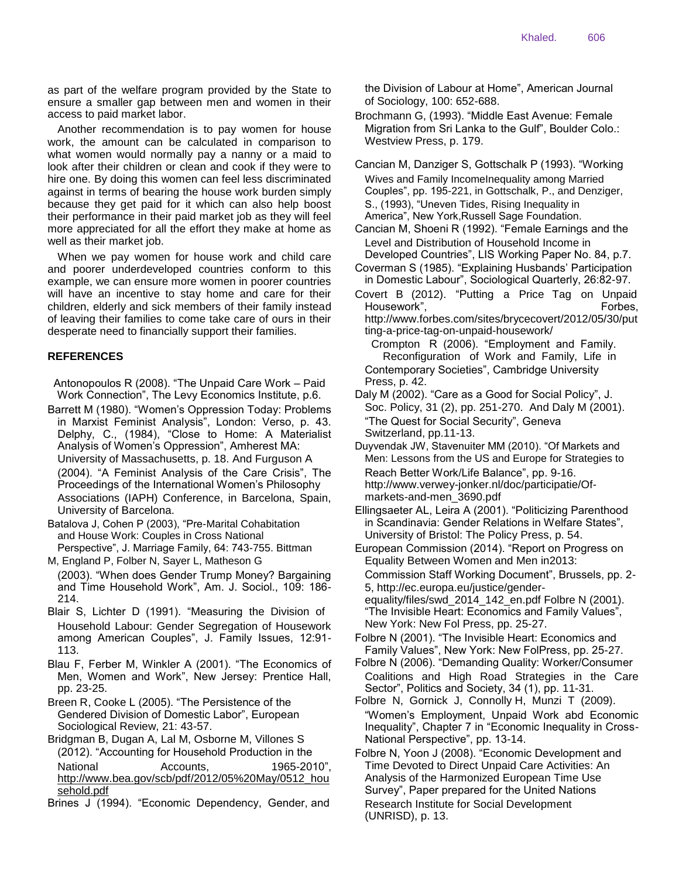as part of the welfare program provided by the State to ensure a smaller gap between men and women in their access to paid market labor.

Another recommendation is to pay women for house work, the amount can be calculated in comparison to what women would normally pay a nanny or a maid to look after their children or clean and cook if they were to hire one. By doing this women can feel less discriminated against in terms of bearing the house work burden simply because they get paid for it which can also help boost their performance in their paid market job as they will feel more appreciated for all the effort they make at home as well as their market job.

When we pay women for house work and child care and poorer underdeveloped countries conform to this example, we can ensure more women in poorer countries will have an incentive to stay home and care for their children, elderly and sick members of their family instead of leaving their families to come take care of ours in their desperate need to financially support their families.

## **REFERENCES**

Antonopoulos R (2008). "The Unpaid Care Work – Paid Work Connection", The Levy Economics Institute, p.6.

- Barrett M (1980). "Women's Oppression Today: Problems in Marxist Feminist Analysis", London: Verso, p. 43. Delphy, C., (1984), "Close to Home: A Materialist Analysis of Women's Oppression", Amherest MA: University of Massachusetts, p. 18. And Furguson A (2004). "A Feminist Analysis of the Care Crisis", The Proceedings of the International Women's Philosophy Associations (IAPH) Conference, in Barcelona, Spain, University of Barcelona.
- Batalova J, Cohen P (2003), "Pre-Marital Cohabitation and House Work: Couples in Cross National Perspective", J. Marriage Family, 64: 743-755. Bittman
- M, England P, Folber N, Sayer L, Matheson G (2003). "When does Gender Trump Money? Bargaining and Time Household Work", Am. J. Sociol., 109: 186- 214.
- Blair S, Lichter D (1991). "Measuring the Division of Household Labour: Gender Segregation of Housework among American Couples", J. Family Issues, 12:91- 113.
- Blau F, Ferber M, Winkler A (2001). "The Economics of Men, Women and Work", New Jersey: Prentice Hall, pp. 23-25.
- Breen R, Cooke L (2005). "The Persistence of the Gendered Division of Domestic Labor", European Sociological Review, 21: 43-57.
- Bridgman B, Dugan A, Lal M, Osborne M, Villones S (2012). "Accounting for Household Production in the National **Accounts**, 1965-2010", http://www.bea.gov/scb/pdf/2012/05%20May/0512\_hou sehold.pdf
- Brines J (1994). "Economic Dependency, Gender, and

the Division of Labour at Home", American Journal of Sociology, 100: 652-688.

Brochmann G, (1993). "Middle East Avenue: Female Migration from Sri Lanka to the Gulf", Boulder Colo.: Westview Press, p. 179.

Cancian M, Danziger S, Gottschalk P (1993). "Working Wives and Family IncomeInequality among Married Couples", pp. 195-221, in Gottschalk, P., and Denziger, S., (1993), "Uneven Tides, Rising Inequality in America", New York,Russell Sage Foundation.

Cancian M, Shoeni R (1992). "Female Earnings and the Level and Distribution of Household Income in

- Developed Countries", LIS Working Paper No. 84, p.7. Coverman S (1985). "Explaining Husbands' Participation in Domestic Labour", Sociological Quarterly, 26:82-97.
- Covert B (2012). "Putting a Price Tag on Unpaid Housework", The Company of the Company of The Forbes, http://www.forbes.com/sites/brycecovert/2012/05/30/put ting-a-price-tag-on-unpaid-housework/

Crompton R (2006). "Employment and Family. Reconfiguration of Work and Family, Life in Contemporary Societies", Cambridge University Press, p. 42.

- Daly M (2002). "Care as a Good for Social Policy", J. Soc. Policy, 31 (2), pp. 251-270. And Daly M (2001). "The Quest for Social Security", Geneva Switzerland, pp.11-13.
- Duyvendak JW, Stavenuiter MM (2010). "Of Markets and Men: Lessons from the US and Europe for Strategies to Reach Better Work/Life Balance", pp. 9-16. http://www.verwey-jonker.nl/doc/participatie/Ofmarkets-and-men\_3690.pdf
- Ellingsaeter AL, Leira A (2001). "Politicizing Parenthood in Scandinavia: Gender Relations in Welfare States", University of Bristol: The Policy Press, p. 54.

European Commission (2014). "Report on Progress on Equality Between Women and Men in2013: Commission Staff Working Document", Brussels, pp. 2- 5, http://ec.europa.eu/justice/genderequality/files/swd\_2014\_142\_en.pdf Folbre N (2001). "The Invisible Heart: Economics and Family Values", New York: New Fol Press, pp. 25-27.

Folbre N (2001). "The Invisible Heart: Economics and Family Values", New York: New FolPress, pp. 25-27.

Folbre N (2006). "Demanding Quality: Worker/Consumer Coalitions and High Road Strategies in the Care Sector", Politics and Society, 34 (1), pp. 11-31.

Folbre N, Gornick J, Connolly H, Munzi T (2009). "Women's Employment, Unpaid Work abd Economic Inequality", Chapter 7 in "Economic Inequality in Cross-National Perspective", pp. 13-14.

Folbre N, Yoon J (2008). "Economic Development and Time Devoted to Direct Unpaid Care Activities: An Analysis of the Harmonized European Time Use Survey", Paper prepared for the United Nations Research Institute for Social Development (UNRISD), p. 13.